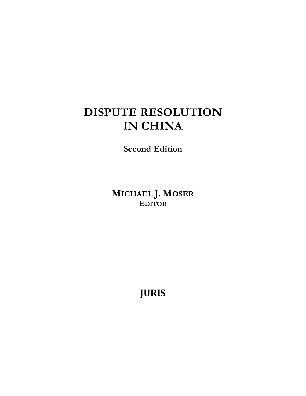## **DISPUTE RESOLUTION IN CHINA**

**Second Edition**

**MICHAEL J. MOSER EDITOR**

**JURIS**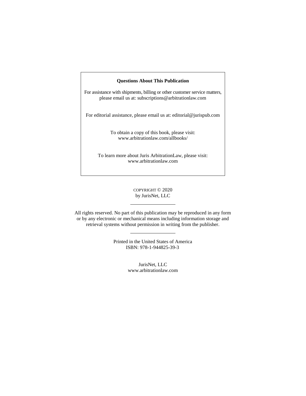## **Questions About This Publication**

For assistance with shipments, billing or other customer service matters, please email us at: subscriptions@arbitrationlaw.com

For editorial assistance, please email us at: editorial@jurispub.com

To obtain a copy of this book, please visit: www.arbitrationlaw.com/allbooks/

To learn more about Juris ArbitrationLaw, please visit: www.arbitrationlaw.com

## COPYRIGHT © 2020 by JurisNet, LLC

All rights reserved. No part of this publication may be reproduced in any form or by any electronic or mechanical means including information storage and retrieval systems without permission in writing from the publisher.

> Printed in the United States of America ISBN: 978-1-944825-39-3

> > JurisNet, LLC www.arbitrationlaw.com